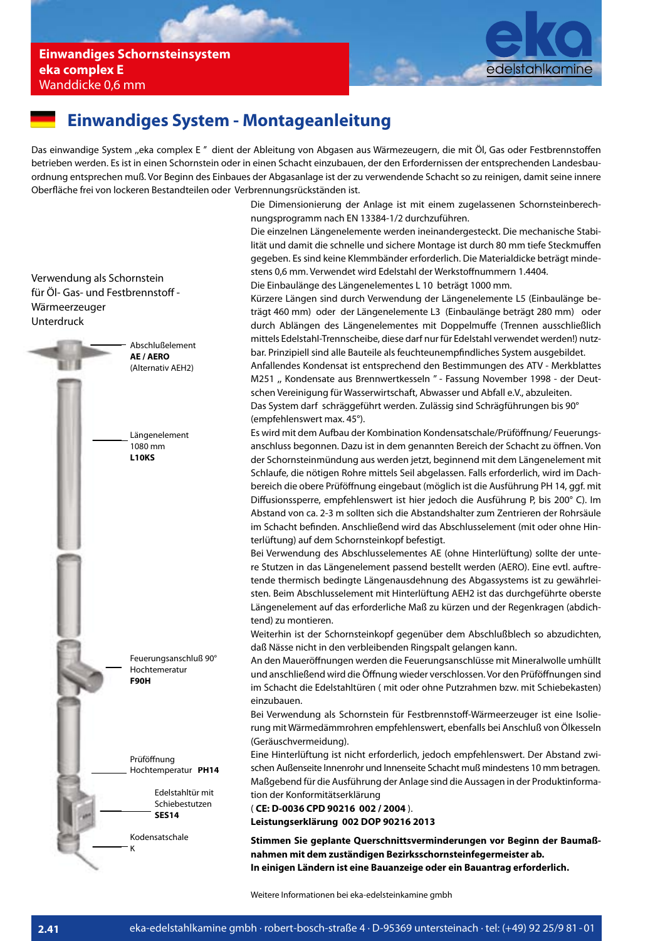

### **Einwandiges System - Montageanleitung**

Das einwandige System "eka complex E" dient der Ableitung von Abgasen aus Wärmezeugern, die mit Öl, Gas oder Festbrennstoffen betrieben werden. Es ist in einen Schornstein oder in einen Schacht einzubauen, der den Erfordernissen der entsprechenden Landesbauordnung entsprechen muß. Vor Beginn des Einbaues der Abgasanlage ist der zu verwendende Schacht so zu reinigen, damit seine innere Oberfläche frei von lockeren Bestandteilen oder Verbrennungsrückständen ist.

> Die Dimensionierung der Anlage ist mit einem zugelassenen Schornsteinberechnungsprogramm nach EN 13384-1/2 durchzuführen.

> Die einzelnen Längenelemente werden ineinandergesteckt. Die mechanische Stabilität und damit die schnelle und sichere Montage ist durch 80 mm tiefe Steckmuffen gegeben. Es sind keine Klemmbänder erforderlich. Die Materialdicke beträgt mindestens 0,6 mm. Verwendet wird Edelstahl der Werkstoffnummern 1.4404. Die Einbaulänge des Längenelementes L 10 beträgt 1000 mm.

> Kürzere Längen sind durch Verwendung der Längenelemente L5 (Einbaulänge beträgt 460 mm) oder der Längenelemente L3 (Einbaulänge beträgt 280 mm) oder durch Ablängen des Längenelementes mit Doppelmuffe (Trennen ausschließlich mittels Edelstahl-Trennscheibe, diese darf nur für Edelstahl verwendet werden!) nutzbar. Prinzipiell sind alle Bauteile als feuchteunempfindliches System ausgebildet.

> Anfallendes Kondensat ist entsprechend den Bestimmungen des ATV - Merkblattes M251 ,, Kondensate aus Brennwertkesseln '' - Fassung November 1998 - der Deutschen Vereinigung für Wasserwirtschaft, Abwasser und Abfall e.V., abzuleiten. Das System darf schräggeführt werden. Zulässig sind Schrägführungen bis 90°

(empfehlenswert max. 45°).

Es wird mit dem Aufbau der Kombination Kondensatschale/Prüföffnung/ Feuerungsanschluss begonnen. Dazu ist in dem genannten Bereich der Schacht zu öffnen. Von der Schornsteinmündung aus werden jetzt, beginnend mit dem Längenelement mit Schlaufe, die nötigen Rohre mittels Seil abgelassen. Falls erforderlich, wird im Dachbereich die obere Prüföffnung eingebaut (möglich ist die Ausführung PH 14, ggf. mit Diffusionssperre, empfehlenswert ist hier jedoch die Ausführung P, bis 200°C). Im Abstand von ca. 2-3 m sollten sich die Abstandshalter zum Zentrieren der Rohrsäule im Schacht befinden. Anschließend wird das Abschlusselement (mit oder ohne Hinterlüftung) auf dem Schornsteinkopf befestigt.

Bei Verwendung des Abschlusselementes AE (ohne Hinterlüftung) sollte der untere Stutzen in das Längenelement passend bestellt werden (AERO). Eine evtl. auftretende thermisch bedingte Längenausdehnung des Abgassystems ist zu gewährleisten. Beim Abschlusselement mit Hinterlüftung AEH2 ist das durchgeführte oberste Längenelement auf das erforderliche Maß zu kürzen und der Regenkragen (abdichtend) zu montieren.

Weiterhin ist der Schornsteinkopf gegenüber dem Abschlußblech so abzudichten, daß Nässe nicht in den verbleibenden Ringspalt gelangen kann.

An den Maueröffnungen werden die Feuerungsanschlüsse mit Mineralwolle umhüllt und anschließend wird die Öffnung wieder verschlossen. Vor den Prüföffnungen sind im Schacht die Edelstahltüren ( mit oder ohne Putzrahmen bzw. mit Schiebekasten) einzubauen.

Bei Verwendung als Schornstein für Festbrennstoff-Wärmeerzeuger ist eine Isolierung mit Wärmedämmrohren empfehlenswert, ebenfalls bei Anschluß von Ölkesseln (Geräuschvermeidung).

Eine Hinterlüftung ist nicht erforderlich, jedoch empfehlenswert. Der Abstand zwischen Außenseite Innenrohr und Innenseite Schacht muß mindestens 10 mm betragen. Maßgebend für die Ausführung der Anlage sind die Aussagen in der Produktinformation der Konformitätserklärung

( **CE: D-0036 CPD 90216 002 / 2004** ).

**Leistungserklärung 002 DOP 90216 2013**

**Stimmen Sie geplante Querschnittsverminderungen vor Beginn der Baumaßnahmen mit dem zuständigen Bezirksschornsteinfegermeister ab. In einigen Ländern ist eine Bauanzeige oder ein Bauantrag erforderlich.**

Weitere Informationen bei eka-edelsteinkamine gmbh

Verwendung als Schornstein für Öl- Gas- und Festbrennstoff -Wärmeerzeuger Unterdruck

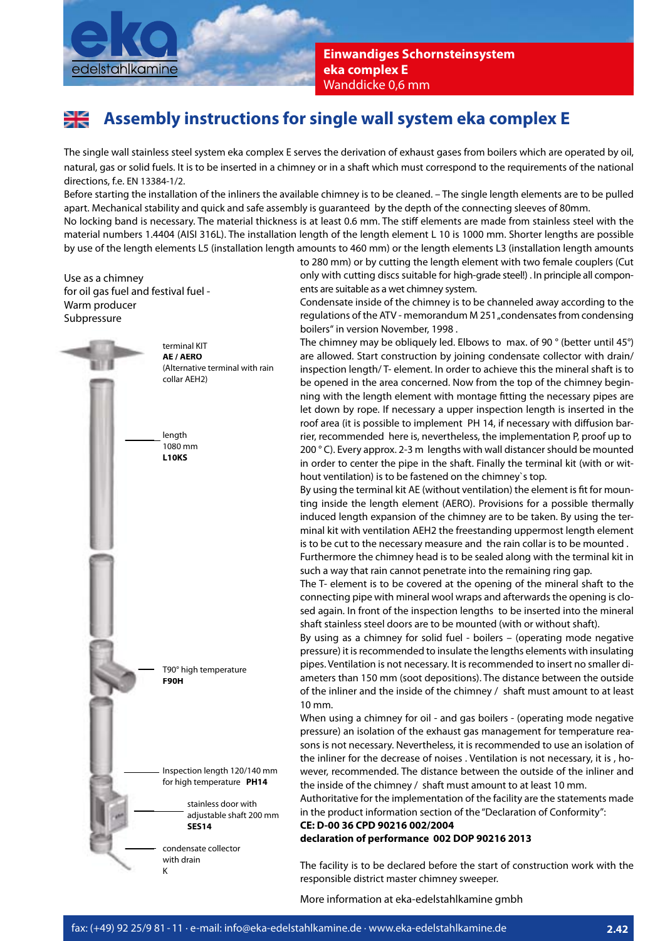

**Einwandiges Schornsteinsystem eka complex E**  Wanddicke 0,6 mm

# **Assembly instructions for single wall system eka complex E**

The single wall stainless steel system eka complex E serves the derivation of exhaust gases from boilers which are operated by oil, natural, gas or solid fuels. It is to be inserted in a chimney or in a shaft which must correspond to the requirements of the national directions, f.e. EN 13384-1/2.

Before starting the installation of the inliners the available chimney is to be cleaned. – The single length elements are to be pulled apart. Mechanical stability and quick and safe assembly is guaranteed by the depth of the connecting sleeves of 80mm.

No locking band is necessary. The material thickness is at least 0.6 mm. The stiff elements are made from stainless steel with the material numbers 1.4404 (AISI 316L). The installation length of the length element L 10 is 1000 mm. Shorter lengths are possible by use of the length elements L5 (installation length amounts to 460 mm) or the length elements L3 (installation length amounts

Use as a chimney for oil gas fuel and festival fuel - Warm producer Subpressure



to 280 mm) or by cutting the length element with two female couplers (Cut only with cutting discs suitable for high-grade steel!) . In principle all components are suitable as a wet chimney system.

Condensate inside of the chimney is to be channeled away according to the regulations of the ATV - memorandum M 251, condensates from condensing boilers" in version November, 1998 .

The chimney may be obliquely led. Elbows to max. of 90 ° (better until 45°) are allowed. Start construction by joining condensate collector with drain/ inspection length/ T- element. In order to achieve this the mineral shaft is to be opened in the area concerned. Now from the top of the chimney beginning with the length element with montage fitting the necessary pipes are let down by rope. If necessary a upper inspection length is inserted in the roof area (it is possible to implement PH 14, if necessary with diffusion barrier, recommended here is, nevertheless, the implementation P, proof up to 200 ° C). Every approx. 2-3 m lengths with wall distancer should be mounted in order to center the pipe in the shaft. Finally the terminal kit (with or without ventilation) is to be fastened on the chimney`s top.

By using the terminal kit AE (without ventilation) the element is fit for mounting inside the length element (AERO). Provisions for a possible thermally induced length expansion of the chimney are to be taken. By using the terminal kit with ventilation AEH2 the freestanding uppermost length element is to be cut to the necessary measure and the rain collar is to be mounted .

Furthermore the chimney head is to be sealed along with the terminal kit in such a way that rain cannot penetrate into the remaining ring gap.

The T- element is to be covered at the opening of the mineral shaft to the connecting pipe with mineral wool wraps and afterwards the opening is closed again. In front of the inspection lengths to be inserted into the mineral shaft stainless steel doors are to be mounted (with or without shaft).

By using as a chimney for solid fuel - boilers – (operating mode negative pressure) it is recommended to insulate the lengths elements with insulating pipes. Ventilation is not necessary. It is recommended to insert no smaller diameters than 150 mm (soot depositions). The distance between the outside of the inliner and the inside of the chimney / shaft must amount to at least 10 mm.

When using a chimney for oil - and gas boilers - (operating mode negative pressure) an isolation of the exhaust gas management for temperature reasons is not necessary. Nevertheless, it is recommended to use an isolation of the inliner for the decrease of noises . Ventilation is not necessary, it is , however, recommended. The distance between the outside of the inliner and the inside of the chimney / shaft must amount to at least 10 mm.

Authoritative for the implementation of the facility are the statements made in the product information section of the "Declaration of Conformity":

#### **CE: D-00 36 CPD 90216 002/2004**

**declaration of performance 002 DOP 90216 2013**

The facility is to be declared before the start of construction work with the responsible district master chimney sweeper.

More information at eka-edelstahlkamine gmbh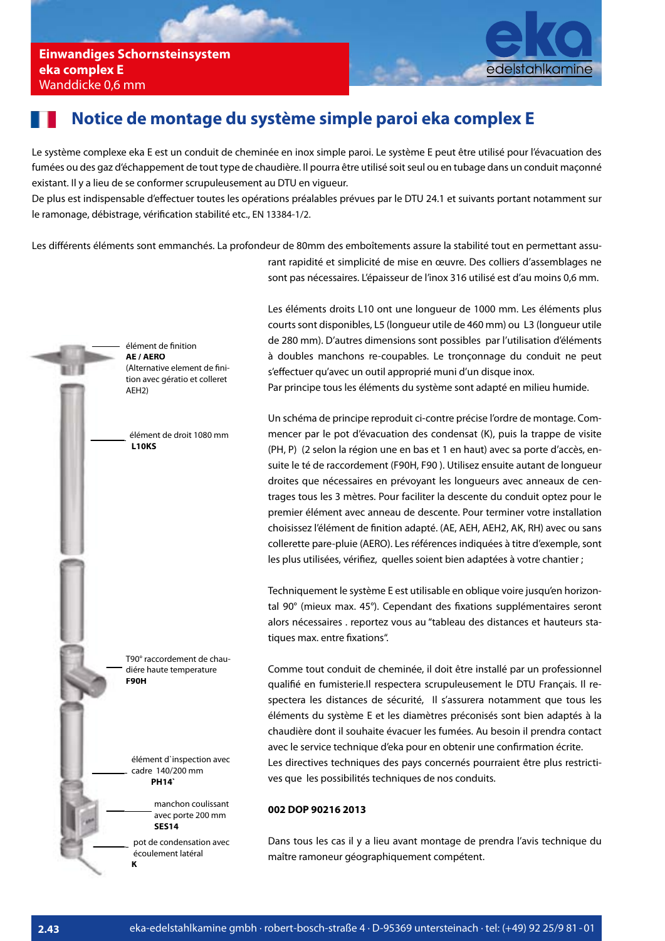

### **Notice de montage du système simple paroi eka complex E**

Le système complexe eka E est un conduit de cheminée en inox simple paroi. Le système E peut être utilisé pour l'évacuation des fumées ou des gaz d'échappement de tout type de chaudière. Il pourra être utilisé soit seul ou en tubage dans un conduit maçonné existant. Il y a lieu de se conformer scrupuleusement au DTU en vigueur.

De plus est indispensable d'effectuer toutes les opérations préalables prévues par le DTU 24.1 et suivants portant notamment sur le ramonage, débistrage, vérification stabilité etc., EN 13384-1/2.

Les différents éléments sont emmanchés. La profondeur de 80mm des emboîtements assure la stabilité tout en permettant assurant rapidité et simplicité de mise en œuvre. Des colliers d'assemblages ne



sont pas nécessaires. L'épaisseur de l'inox 316 utilisé est d'au moins 0,6 mm.

Les éléments droits L10 ont une longueur de 1000 mm. Les éléments plus courts sont disponibles, L5 (longueur utile de 460 mm) ou L3 (longueur utile de 280 mm). D'autres dimensions sont possibles par l'utilisation d'éléments à doubles manchons re-coupables. Le tronçonnage du conduit ne peut s'effectuer qu'avec un outil approprié muni d'un disque inox.

Par principe tous les éléments du système sont adapté en milieu humide.

Un schéma de principe reproduit ci-contre précise l'ordre de montage. Commencer par le pot d'évacuation des condensat (K), puis la trappe de visite (PH, P) (2 selon la région une en bas et 1 en haut) avec sa porte d'accès, ensuite le té de raccordement (F90H, F90 ). Utilisez ensuite autant de longueur droites que nécessaires en prévoyant les longueurs avec anneaux de centrages tous les 3 mètres. Pour faciliter la descente du conduit optez pour le premier élément avec anneau de descente. Pour terminer votre installation choisissez l'élément de finition adapté. (AE, AEH, AEH2, AK, RH) avec ou sans collerette pare-pluie (AERO). Les références indiquées à titre d'exemple, sont les plus utilisées, vérifiez, quelles soient bien adaptées à votre chantier ;

Techniquement le système E est utilisable en oblique voire jusqu'en horizontal 90° (mieux max. 45°). Cependant des fixations supplémentaires seront alors nécessaires . reportez vous au "tableau des distances et hauteurs statiques max. entre fixations".

Comme tout conduit de cheminée, il doit être installé par un professionnel qualifié en fumisterie.Il respectera scrupuleusement le DTU Français. Il respectera les distances de sécurité, Il s'assurera notamment que tous les éléments du système E et les diamètres préconisés sont bien adaptés à la chaudière dont il souhaite évacuer les fumées. Au besoin il prendra contact avec le service technique d'eka pour en obtenir une confirmation écrite. Les directives techniques des pays concernés pourraient être plus restrictives que les possibilités techniques de nos conduits.

#### **002 DOP 90216 2013**

Dans tous les cas il y a lieu avant montage de prendra l'avis technique du maître ramoneur géographiquement compétent.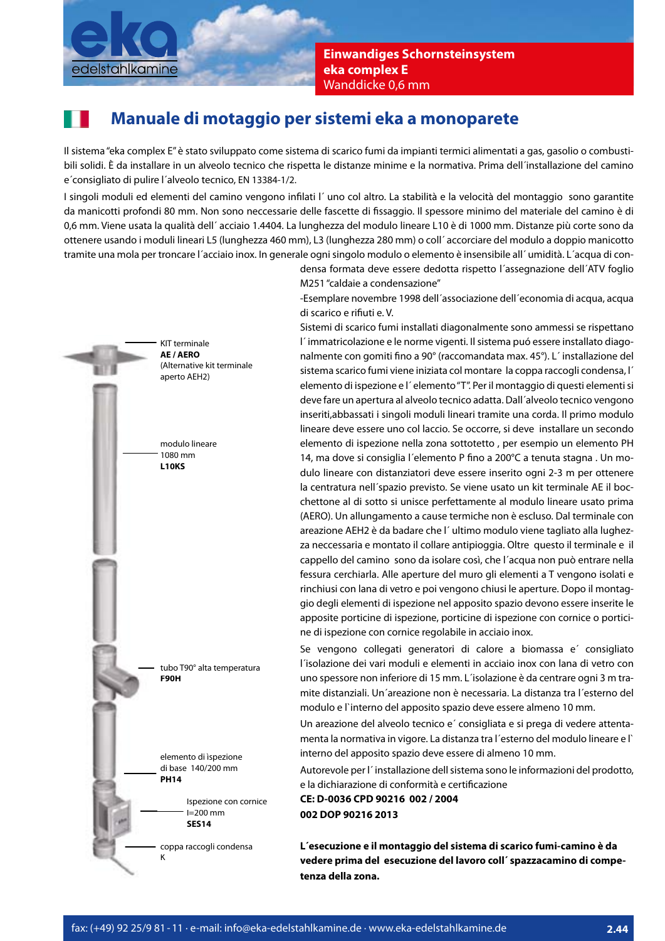

**Einwandiges Schornsteinsystem eka complex E**  Wanddicke 0,6 mm

## **Manuale di motaggio per sistemi eka a monoparete**

Il sistema "eka complex E" è stato sviluppato come sistema di scarico fumi da impianti termici alimentati a gas, gasolio o combustibili solidi. È da installare in un alveolo tecnico che rispetta le distanze minime e la normativa. Prima dell´installazione del camino e´consigliato di pulire l´alveolo tecnico, EN 13384-1/2.

I singoli moduli ed elementi del camino vengono infilati l'uno col altro. La stabilità e la velocità del montaggio sono garantite da manicotti profondi 80 mm. Non sono neccessarie delle fascette di fissaggio. Il spessore minimo del materiale del camino è di 0,6 mm. Viene usata la qualità dell´ acciaio 1.4404. La lunghezza del modulo lineare L10 è di 1000 mm. Distanze più corte sono da ottenere usando i moduli lineari L5 (lunghezza 460 mm), L3 (lunghezza 280 mm) o coll´ accorciare del modulo a doppio manicotto tramite una mola per troncare l´acciaio inox. In generale ogni singolo modulo o elemento è insensibile all´ umidità. L´acqua di con-



densa formata deve essere dedotta rispetto l´assegnazione dell´ATV foglio M251 "caldaie a condensazione"

-Esemplare novembre 1998 dell´associazione dell´economia di acqua, acqua di scarico e rifiuti e.V.

Sistemi di scarico fumi installati diagonalmente sono ammessi se rispettano l´ immatricolazione e le norme vigenti. Il sistema puó essere installato diagonalmente con gomiti fino a 90° (raccomandata max. 45°). L'installazione del sistema scarico fumi viene iniziata col montare la coppa raccogli condensa, l´ elemento di ispezione e l´ elemento "T". Per il montaggio di questi elementi si deve fare un apertura al alveolo tecnico adatta. Dall´alveolo tecnico vengono inseriti,abbassati i singoli moduli lineari tramite una corda. Il primo modulo lineare deve essere uno col laccio. Se occorre, si deve installare un secondo elemento di ispezione nella zona sottotetto , per esempio un elemento PH 14, ma dove si consiglia l'elemento P fino a 200°C a tenuta stagna . Un modulo lineare con distanziatori deve essere inserito ogni 2-3 m per ottenere la centratura nell´spazio previsto. Se viene usato un kit terminale AE il bocchettone al di sotto si unisce perfettamente al modulo lineare usato prima (AERO). Un allungamento a cause termiche non è escluso. Dal terminale con areazione AEH2 è da badare che l´ ultimo modulo viene tagliato alla lughezza neccessaria e montato il collare antipioggia. Oltre questo il terminale e il cappello del camino sono da isolare così, che l´acqua non può entrare nella fessura cerchiarla. Alle aperture del muro gli elementi a T vengono isolati e rinchiusi con lana di vetro e poi vengono chiusi le aperture. Dopo il montaggio degli elementi di ispezione nel apposito spazio devono essere inserite le apposite porticine di ispezione, porticine di ispezione con cornice o porticine di ispezione con cornice regolabile in acciaio inox.

Se vengono collegati generatori di calore a biomassa e´ consigliato l´isolazione dei vari moduli e elementi in acciaio inox con lana di vetro con uno spessore non inferiore di 15 mm. L´isolazione è da centrare ogni 3 m tramite distanziali. Un´areazione non è necessaria. La distanza tra l´esterno del modulo e l`interno del apposito spazio deve essere almeno 10 mm.

Un areazione del alveolo tecnico e´ consigliata e si prega di vedere attentamenta la normativa in vigore. La distanza tra l´esterno del modulo lineare e l` interno del apposito spazio deve essere di almeno 10 mm.

Autorevole per l´ installazione dell sistema sono le informazioni del prodotto, e la dichiarazione di conformità e certificazione

**CE: D-0036 CPD 90216 002 / 2004 002 DOP 90216 2013**

**L´esecuzione e il montaggio del sistema di scarico fumi-camino è da vedere prima del esecuzione del lavoro coll´ spazzacamino di competenza della zona.**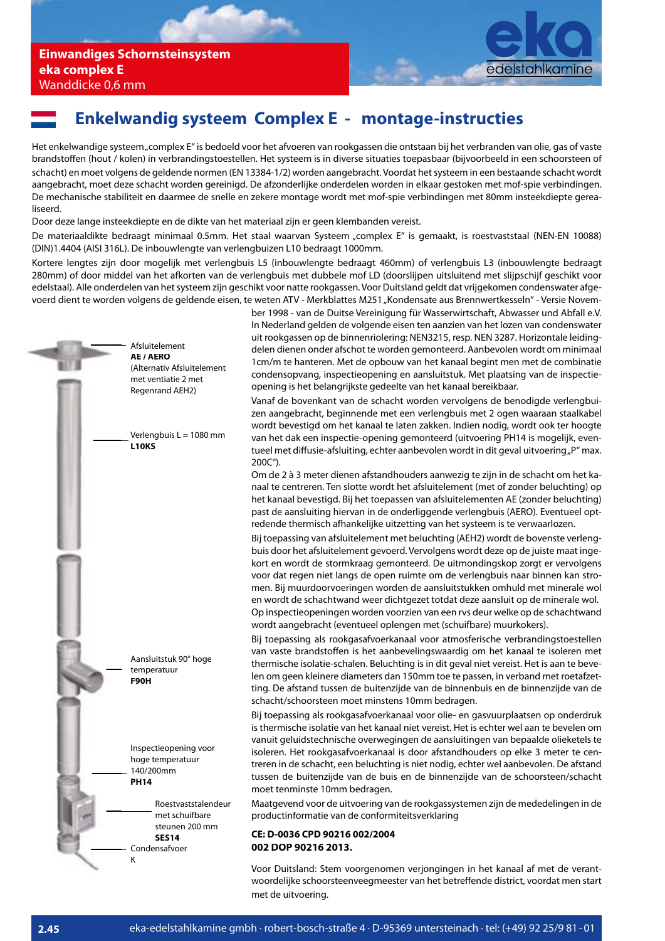

## **Enkelwandig systeem Complex E - montage-instructies**

Het enkelwandige systeem "complex E" is bedoeld voor het afvoeren van rookgassen die ontstaan bij het verbranden van olie, gas of vaste brandsto en (hout / kolen) in verbrandingstoestellen. Het systeem is in diverse situaties toepasbaar (bijvoorbeeld in een schoorsteen of schacht) en moet volgens de geldende normen (EN 13384-1/2) worden aangebracht. Voordat het systeem in een bestaande schacht wordt aangebracht, moet deze schacht worden gereinigd. De afzonderlijke onderdelen worden in elkaar gestoken met mof-spie verbindingen. De mechanische stabiliteit en daarmee de snelle en zekere montage wordt met mof-spie verbindingen met 80mm insteekdiepte gerealiseerd.

Door deze lange insteekdiepte en de dikte van het materiaal zijn er geen klembanden vereist.

De materiaaldikte bedraagt minimaal 0.5mm. Het staal waarvan Systeem "complex E" is gemaakt, is roestvaststaal (NEN-EN 10088) (DIN)1.4404 (AISI 316L). De inbouwlengte van verlengbuizen L10 bedraagt 1000mm.

Kortere lengtes zijn door mogelijk met verlengbuis L5 (inbouwlengte bedraagt 460mm) of verlengbuis L3 (inbouwlengte bedraagt 280mm) of door middel van het afkorten van de verlengbuis met dubbele mof LD (doorslijpen uitsluitend met slijpschijf geschikt voor edelstaal). Alle onderdelen van het systeem zijn geschikt voor natte rookgassen. Voor Duitsland geldt dat vrijgekomen condenswater afgevoerd dient te worden volgens de geldende eisen, te weten ATV - Merkblattes M251 "Kondensate aus Brennwertkesseln" - Versie Novem-



ber 1998 - van de Duitse Vereinigung für Wasserwirtschaft, Abwasser und Abfall e.V. In Nederland gelden de volgende eisen ten aanzien van het lozen van condenswater uit rookgassen op de binnenriolering: NEN3215, resp. NEN 3287. Horizontale leidingdelen dienen onder afschot te worden gemonteerd. Aanbevolen wordt om minimaal 1cm/m te hanteren. Met de opbouw van het kanaal begint men met de combinatie condensopvang, inspectieopening en aansluitstuk. Met plaatsing van de inspectieopening is het belangrijkste gedeelte van het kanaal bereikbaar.

Vanaf de bovenkant van de schacht worden vervolgens de benodigde verlengbuizen aangebracht, beginnende met een verlengbuis met 2 ogen waaraan staalkabel wordt bevestigd om het kanaal te laten zakken. Indien nodig, wordt ook ter hoogte van het dak een inspectie-opening gemonteerd (uitvoering PH14 is mogelijk, eventueel met diffusie-afsluiting, echter aanbevolen wordt in dit geval uitvoering "P" max. 200C°).

Om de 2 à 3 meter dienen afstandhouders aanwezig te zijn in de schacht om het kanaal te centreren. Ten slotte wordt het afsluitelement (met of zonder beluchting) op het kanaal bevestigd. Bij het toepassen van afsluitelementen AE (zonder beluchting) past de aansluiting hiervan in de onderliggende verlengbuis (AERO). Eventueel optredende thermisch afhankelijke uitzetting van het systeem is te verwaarlozen.

Bij toepassing van afsluitelement met beluchting (AEH2) wordt de bovenste verlengbuis door het afsluitelement gevoerd. Vervolgens wordt deze op de juiste maat ingekort en wordt de stormkraag gemonteerd. De uitmondingskop zorgt er vervolgens voor dat regen niet langs de open ruimte om de verlengbuis naar binnen kan stromen. Bij muurdoorvoeringen worden de aansluitstukken omhuld met minerale wol en wordt de schachtwand weer dichtgezet totdat deze aansluit op de minerale wol. Op inspectieopeningen worden voorzien van een rvs deur welke op de schachtwand wordt aangebracht (eventueel oplengen met (schuifbare) muurkokers).

Bij toepassing als rookgasafvoerkanaal voor atmosferische verbrandingstoestellen van vaste brandstoffen is het aanbevelingswaardig om het kanaal te isoleren met thermische isolatie-schalen. Beluchting is in dit geval niet vereist. Het is aan te bevelen om geen kleinere diameters dan 150mm toe te passen, in verband met roetafzetting. De afstand tussen de buitenzijde van de binnenbuis en de binnenzijde van de schacht/schoorsteen moet minstens 10mm bedragen.

Bij toepassing als rookgasafvoerkanaal voor olie- en gasvuurplaatsen op onderdruk is thermische isolatie van het kanaal niet vereist. Het is echter wel aan te bevelen om vanuit geluidstechnische overwegingen de aansluitingen van bepaalde olieketels te isoleren. Het rookgasafvoerkanaal is door afstandhouders op elke 3 meter te centreren in de schacht, een beluchting is niet nodig, echter wel aanbevolen. De afstand tussen de buitenzijde van de buis en de binnenzijde van de schoorsteen/schacht moet tenminste 10mm bedragen.

Maatgevend voor de uitvoering van de rookgassystemen zijn de mededelingen in de productinformatie van de conformiteitsverklaring

#### **CE: D-0036 CPD 90216 002/2004 002 DOP 90216 2013.**

Voor Duitsland: Stem voorgenomen verjongingen in het kanaal af met de verantwoordelijke schoorsteenveegmeester van het betreffende district, voordat men start met de uitvoering.